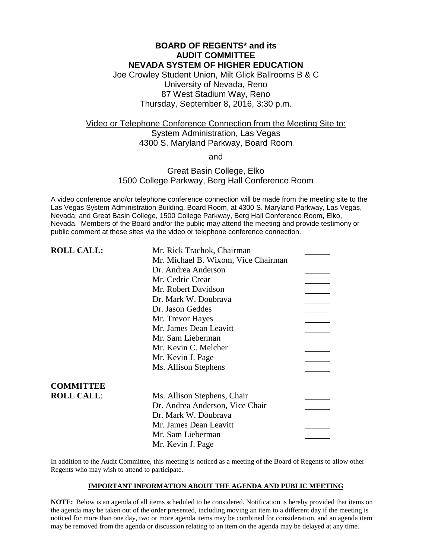# **BOARD OF REGENTS\* and its AUDIT COMMITTEE NEVADA SYSTEM OF HIGHER EDUCATION**

Joe Crowley Student Union, Milt Glick Ballrooms B & C University of Nevada, Reno 87 West Stadium Way, Reno Thursday, September 8, 2016, 3:30 p.m.

# Video or Telephone Conference Connection from the Meeting Site to: System Administration, Las Vegas 4300 S. Maryland Parkway, Board Room

and

### Great Basin College, Elko 1500 College Parkway, Berg Hall Conference Room

A video conference and/or telephone conference connection will be made from the meeting site to the Las Vegas System Administration Building, Board Room, at 4300 S. Maryland Parkway, Las Vegas, Nevada; and Great Basin College, 1500 College Parkway, Berg Hall Conference Room, Elko, Nevada. Members of the Board and/or the public may attend the meeting and provide testimony or public comment at these sites via the video or telephone conference connection.

| <b>ROLL CALL:</b> | Mr. Rick Trachok, Chairman          |  |
|-------------------|-------------------------------------|--|
|                   | Mr. Michael B. Wixom, Vice Chairman |  |
|                   | Dr. Andrea Anderson                 |  |
|                   | Mr. Cedric Crear                    |  |
|                   | Mr. Robert Davidson                 |  |
|                   | Dr. Mark W. Doubrava                |  |
|                   | Dr. Jason Geddes                    |  |
|                   | Mr. Trevor Hayes                    |  |
|                   | Mr. James Dean Leavitt              |  |
|                   | Mr. Sam Lieberman                   |  |
|                   | Mr. Kevin C. Melcher                |  |
|                   | Mr. Kevin J. Page                   |  |
|                   | Ms. Allison Stephens                |  |
| <b>COMMITTEE</b>  |                                     |  |
| <b>ROLL CALL:</b> | Ms. Allison Stephens, Chair         |  |
|                   | Dr. Andrea Anderson, Vice Chair     |  |
|                   | Dr. Mark W. Doubrava                |  |
|                   | Mr. James Dean Leavitt              |  |
|                   | Mr. Sam Lieberman                   |  |
|                   | Mr. Kevin J. Page                   |  |
|                   |                                     |  |

In addition to the Audit Committee, this meeting is noticed as a meeting of the Board of Regents to allow other Regents who may wish to attend to participate.

### **IMPORTANT INFORMATION ABOUT THE AGENDA AND PUBLIC MEETING**

**NOTE:** Below is an agenda of all items scheduled to be considered. Notification is hereby provided that items on the agenda may be taken out of the order presented, including moving an item to a different day if the meeting is noticed for more than one day, two or more agenda items may be combined for consideration, and an agenda item may be removed from the agenda or discussion relating to an item on the agenda may be delayed at any time.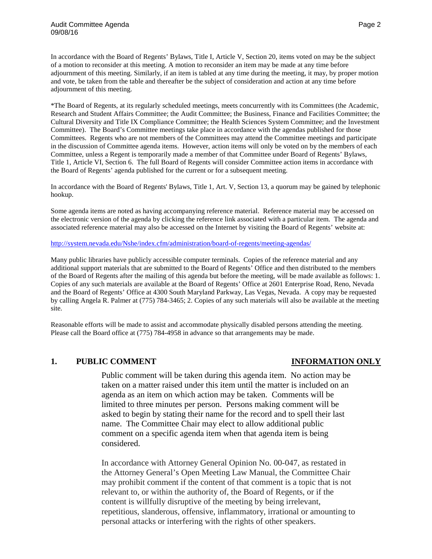In accordance with the Board of Regents' Bylaws, Title I, Article V, Section 20, items voted on may be the subject of a motion to reconsider at this meeting. A motion to reconsider an item may be made at any time before adjournment of this meeting. Similarly, if an item is tabled at any time during the meeting, it may, by proper motion and vote, be taken from the table and thereafter be the subject of consideration and action at any time before adjournment of this meeting.

\*The Board of Regents, at its regularly scheduled meetings, meets concurrently with its Committees (the Academic, Research and Student Affairs Committee; the Audit Committee; the Business, Finance and Facilities Committee; the Cultural Diversity and Title IX Compliance Committee; the Health Sciences System Committee; and the Investment Committee). The Board's Committee meetings take place in accordance with the agendas published for those Committees. Regents who are not members of the Committees may attend the Committee meetings and participate in the discussion of Committee agenda items. However, action items will only be voted on by the members of each Committee, unless a Regent is temporarily made a member of that Committee under Board of Regents' Bylaws, Title 1, Article VI, Section 6. The full Board of Regents will consider Committee action items in accordance with the Board of Regents' agenda published for the current or for a subsequent meeting.

In accordance with the Board of Regents' Bylaws, Title 1, Art. V, Section 13, a quorum may be gained by telephonic hookup.

Some agenda items are noted as having accompanying reference material. Reference material may be accessed on the electronic version of the agenda by clicking the reference link associated with a particular item. The agenda and associated reference material may also be accessed on the Internet by visiting the Board of Regents' website at:

### <http://system.nevada.edu/Nshe/index.cfm/administration/board-of-regents/meeting-agendas/>

Many public libraries have publicly accessible computer terminals. Copies of the reference material and any additional support materials that are submitted to the Board of Regents' Office and then distributed to the members of the Board of Regents after the mailing of this agenda but before the meeting, will be made available as follows: 1. Copies of any such materials are available at the Board of Regents' Office at 2601 Enterprise Road, Reno, Nevada and the Board of Regents' Office at 4300 South Maryland Parkway, Las Vegas, Nevada. A copy may be requested by calling Angela R. Palmer at (775) 784-3465; 2. Copies of any such materials will also be available at the meeting site.

Reasonable efforts will be made to assist and accommodate physically disabled persons attending the meeting. Please call the Board office at (775) 784-4958 in advance so that arrangements may be made.

### **1. PUBLIC COMMENT INFORMATION ONLY**

Public comment will be taken during this agenda item. No action may be taken on a matter raised under this item until the matter is included on an agenda as an item on which action may be taken. Comments will be limited to three minutes per person. Persons making comment will be asked to begin by stating their name for the record and to spell their last name. The Committee Chair may elect to allow additional public comment on a specific agenda item when that agenda item is being considered.

In accordance with Attorney General Opinion No. 00-047, as restated in the Attorney General's Open Meeting Law Manual, the Committee Chair may prohibit comment if the content of that comment is a topic that is not relevant to, or within the authority of, the Board of Regents, or if the content is willfully disruptive of the meeting by being irrelevant, repetitious, slanderous, offensive, inflammatory, irrational or amounting to personal attacks or interfering with the rights of other speakers.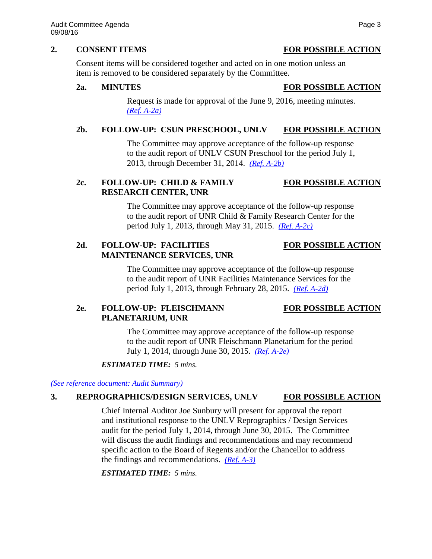### **2. CONSENT ITEMS FOR POSSIBLE ACTION**

Consent items will be considered together and acted on in one motion unless an

item is removed to be considered separately by the Committee.

### **2a. MINUTES FOR POSSIBLE ACTION**

Request is made for approval of the June 9, 2016, meeting minutes. *[\(Ref. A-2a\)](http://system.nevada.edu/tasks/sites/Nshe/assets/File/BoardOfRegents/Agendas/2016/sept-mtgs/audit-refs/A-2a.pdf)*

## **2b. FOLLOW-UP: CSUN PRESCHOOL, UNLV FOR POSSIBLE ACTION**

The Committee may approve acceptance of the follow-up response to the audit report of UNLV CSUN Preschool for the period July 1, 2013, through December 31, 2014. *[\(Ref. A-2b\)](http://system.nevada.edu/tasks/sites/Nshe/assets/File/BoardOfRegents/Agendas/2016/sept-mtgs/audit-refs/A-2b.pdf)*

# **2c. FOLLOW-UP: CHILD & FAMILY FOR POSSIBLE ACTION RESEARCH CENTER, UNR**

The Committee may approve acceptance of the follow-up response to the audit report of UNR Child & Family Research Center for the period July 1, 2013, through May 31, 2015. *[\(Ref. A-2c\)](http://system.nevada.edu/tasks/sites/Nshe/assets/File/BoardOfRegents/Agendas/2016/sept-mtgs/audit-refs/A-2c.pdf)*

# **2d. FOLLOW-UP: FACILITIES FOR POSSIBLE ACTION MAINTENANCE SERVICES, UNR**

The Committee may approve acceptance of the follow-up response to the audit report of UNR Facilities Maintenance Services for the period July 1, 2013, through February 28, 2015. *[\(Ref. A-2d\)](http://system.nevada.edu/tasks/sites/Nshe/assets/File/BoardOfRegents/Agendas/2016/sept-mtgs/audit-refs/A-2d.pdf)*

# **2e. FOLLOW-UP: FLEISCHMANN FOR POSSIBLE ACTION PLANETARIUM, UNR**

The Committee may approve acceptance of the follow-up response to the audit report of UNR Fleischmann Planetarium for the period July 1, 2014, through June 30, 2015. *[\(Ref. A-2e\)](http://system.nevada.edu/tasks/sites/Nshe/assets/File/BoardOfRegents/Agendas/2016/sept-mtgs/audit-refs/A-2e.pdf)*

### *ESTIMATED TIME: 5 mins.*

*[\(See reference document:](http://system.nevada.edu/tasks/sites/Nshe/assets/File/BoardOfRegents/Agendas/2016/sept-mtgs/audit-refs/Audit%20Summary.pdf) Audit Summary)*

# **3. REPROGRAPHICS/DESIGN SERVICES, UNLV FOR POSSIBLE ACTION**

Chief Internal Auditor Joe Sunbury will present for approval the report and institutional response to the UNLV Reprographics / Design Services audit for the period July 1, 2014, through June 30, 2015. The Committee will discuss the audit findings and recommendations and may recommend specific action to the Board of Regents and/or the Chancellor to address the findings and recommendations. *[\(Ref. A-3\)](http://system.nevada.edu/tasks/sites/Nshe/assets/File/BoardOfRegents/Agendas/2016/sept-mtgs/audit-refs/A-3.pdf)*

### *ESTIMATED TIME: 5 mins.*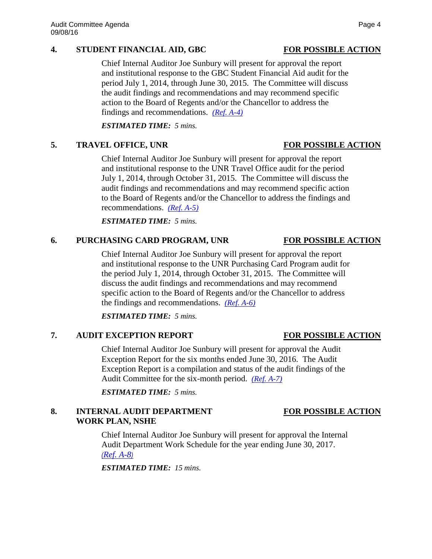### **4. STUDENT FINANCIAL AID, GBC FOR POSSIBLE ACTION**

Chief Internal Auditor Joe Sunbury will present for approval the report and institutional response to the GBC Student Financial Aid audit for the period July 1, 2014, through June 30, 2015. The Committee will discuss the audit findings and recommendations and may recommend specific action to the Board of Regents and/or the Chancellor to address the findings and recommendations. *[\(Ref. A-4\)](http://system.nevada.edu/tasks/sites/Nshe/assets/File/BoardOfRegents/Agendas/2016/sept-mtgs/audit-refs/A-4.pdf)*

*ESTIMATED TIME: 5 mins.*

# **5. TRAVEL OFFICE, UNR FOR POSSIBLE ACTION**

Chief Internal Auditor Joe Sunbury will present for approval the report and institutional response to the UNR Travel Office audit for the period July 1, 2014, through October 31, 2015. The Committee will discuss the audit findings and recommendations and may recommend specific action to the Board of Regents and/or the Chancellor to address the findings and recommendations. *[\(Ref. A-5\)](http://system.nevada.edu/tasks/sites/Nshe/assets/File/BoardOfRegents/Agendas/2016/sept-mtgs/audit-refs/A-5.pdf)*

*ESTIMATED TIME: 5 mins.*

## **6. PURCHASING CARD PROGRAM, UNR FOR POSSIBLE ACTION**

Chief Internal Auditor Joe Sunbury will present for approval the report and institutional response to the UNR Purchasing Card Program audit for the period July 1, 2014, through October 31, 2015. The Committee will discuss the audit findings and recommendations and may recommend specific action to the Board of Regents and/or the Chancellor to address the findings and recommendations. *[\(Ref. A-6\)](http://system.nevada.edu/tasks/sites/Nshe/assets/File/BoardOfRegents/Agendas/2016/sept-mtgs/audit-refs/A-6.pdf)*

*ESTIMATED TIME: 5 mins.*

# **7. AUDIT EXCEPTION REPORT FOR POSSIBLE ACTION**

Chief Internal Auditor Joe Sunbury will present for approval the Audit Exception Report for the six months ended June 30, 2016. The Audit Exception Report is a compilation and status of the audit findings of the Audit Committee for the six-month period. *[\(Ref. A-7\)](http://system.nevada.edu/tasks/sites/Nshe/assets/File/BoardOfRegents/Agendas/2016/sept-mtgs/audit-refs/A-7.pdf)*

*ESTIMATED TIME: 5 mins.*

# **8. INTERNAL AUDIT DEPARTMENT FOR POSSIBLE ACTION WORK PLAN, NSHE**

Chief Internal Auditor Joe Sunbury will present for approval the Internal Audit Department Work Schedule for the year ending June 30, 2017. *([Ref. A-8](http://system.nevada.edu/tasks/sites/Nshe/assets/File/BoardOfRegents/Agendas/2016/sept-mtgs/audit-refs/A-8.pdf))*

*ESTIMATED TIME: 15 mins.*